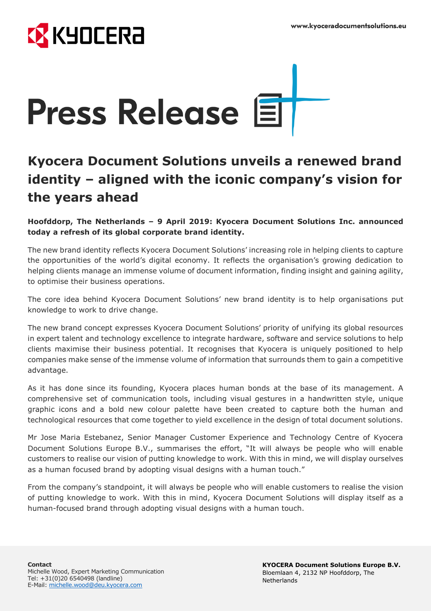



## **Kyocera Document Solutions unveils a renewed brand identity – aligned with the iconic company's vision for the years ahead**

**Hoofddorp, The Netherlands – 9 April 2019: Kyocera Document Solutions Inc. announced today a refresh of its global corporate brand identity.**

The new brand identity reflects Kyocera Document Solutions' increasing role in helping clients to capture the opportunities of the world's digital economy. It reflects the organisation's growing dedication to helping clients manage an immense volume of document information, finding insight and gaining agility, to optimise their business operations.

The core idea behind Kyocera Document Solutions' new brand identity is to help organisations put knowledge to work to drive change.

The new brand concept expresses Kyocera Document Solutions' priority of unifying its global resources in expert talent and technology excellence to integrate hardware, software and service solutions to help clients maximise their business potential. It recognises that Kyocera is uniquely positioned to help companies make sense of the immense volume of information that surrounds them to gain a competitive advantage.

As it has done since its founding, Kyocera places human bonds at the base of its management. A comprehensive set of communication tools, including visual gestures in a handwritten style, unique graphic icons and a bold new colour palette have been created to capture both the human and technological resources that come together to yield excellence in the design of total document solutions.

Mr Jose Maria Estebanez, Senior Manager Customer Experience and Technology Centre of Kyocera Document Solutions Europe B.V., summarises the effort, "It will always be people who will enable customers to realise our vision of putting knowledge to work. With this in mind, we will display ourselves as a human focused brand by adopting visual designs with a human touch."

From the company's standpoint, it will always be people who will enable customers to realise the vision of putting knowledge to work. With this in mind, Kyocera Document Solutions will display itself as a human-focused brand through adopting visual designs with a human touch.